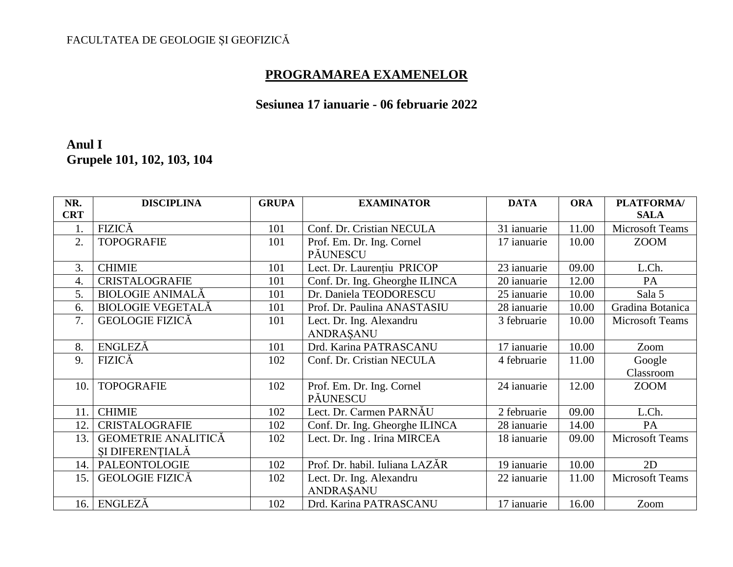## FACULTATEA DE GEOLOGIE ȘI GEOFIZICĂ

## **PROGRAMAREA EXAMENELOR**

## **Sesiunea 17 ianuarie - 06 februarie 2022**

### **Anul I Grupele 101, 102, 103, 104**

| NR.        | <b>DISCIPLINA</b>          | <b>GRUPA</b> | <b>EXAMINATOR</b>              | <b>DATA</b> | <b>ORA</b> | PLATFORMA/             |
|------------|----------------------------|--------------|--------------------------------|-------------|------------|------------------------|
| <b>CRT</b> |                            |              |                                |             |            | <b>SALA</b>            |
| 1.         | <b>FIZICĂ</b>              | 101          | Conf. Dr. Cristian NECULA      | 31 ianuarie | 11.00      | Microsoft Teams        |
| 2.         | <b>TOPOGRAFIE</b>          | 101          | Prof. Em. Dr. Ing. Cornel      | 17 ianuarie | 10.00      | <b>ZOOM</b>            |
|            |                            |              | PĂUNESCU                       |             |            |                        |
| 3.         | <b>CHIMIE</b>              | 101          | Lect. Dr. Laurențiu PRICOP     | 23 ianuarie | 09.00      | L.Ch.                  |
| 4.         | <b>CRISTALOGRAFIE</b>      | 101          | Conf. Dr. Ing. Gheorghe ILINCA | 20 ianuarie | 12.00      | PA                     |
| 5.         | <b>BIOLOGIE ANIMALĂ</b>    | 101          | Dr. Daniela TEODORESCU         | 25 ianuarie | 10.00      | Sala 5                 |
| 6.         | <b>BIOLOGIE VEGETALĂ</b>   | 101          | Prof. Dr. Paulina ANASTASIU    | 28 ianuarie | 10.00      | Gradina Botanica       |
| 7.         | <b>GEOLOGIE FIZICĂ</b>     | 101          | Lect. Dr. Ing. Alexandru       | 3 februarie | 10.00      | <b>Microsoft Teams</b> |
|            |                            |              | ANDRAŞANU                      |             |            |                        |
| 8.         | ENGLEZĂ                    | 101          | Drd. Karina PATRASCANU         | 17 ianuarie | 10.00      | Zoom                   |
| 9.         | <b>FIZICĂ</b>              | 102          | Conf. Dr. Cristian NECULA      | 4 februarie | 11.00      | Google                 |
|            |                            |              |                                |             |            | Classroom              |
| 10.        | <b>TOPOGRAFIE</b>          | 102          | Prof. Em. Dr. Ing. Cornel      | 24 ianuarie | 12.00      | <b>ZOOM</b>            |
|            |                            |              | PĂUNESCU                       |             |            |                        |
| 11.        | <b>CHIMIE</b>              | 102          | Lect. Dr. Carmen PARNAU        | 2 februarie | 09.00      | L.Ch.                  |
| 12.        | <b>CRISTALOGRAFIE</b>      | 102          | Conf. Dr. Ing. Gheorghe ILINCA | 28 ianuarie | 14.00      | PA                     |
| 13.        | <b>GEOMETRIE ANALITICĂ</b> | 102          | Lect. Dr. Ing. Irina MIRCEA    | 18 ianuarie | 09.00      | <b>Microsoft Teams</b> |
|            | ȘI DIFERENȚIALĂ            |              |                                |             |            |                        |
| 14.        | <b>PALEONTOLOGIE</b>       | 102          | Prof. Dr. habil. Iuliana LAZĂR | 19 ianuarie | 10.00      | 2D                     |
| 15.        | <b>GEOLOGIE FIZICĂ</b>     | 102          | Lect. Dr. Ing. Alexandru       | 22 ianuarie | 11.00      | <b>Microsoft Teams</b> |
|            |                            |              | ANDRASANU                      |             |            |                        |
| 16.        | ENGLEZĂ                    | 102          | Drd. Karina PATRASCANU         | 17 ianuarie | 16.00      | Zoom                   |